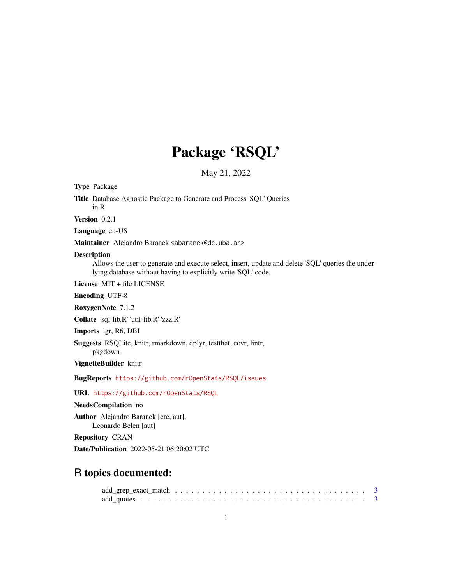# Package 'RSQL'

May 21, 2022

Type Package

Title Database Agnostic Package to Generate and Process 'SQL' Queries in R

Version 0.2.1

Language en-US

Maintainer Alejandro Baranek <abaranek@dc.uba.ar>

#### Description

Allows the user to generate and execute select, insert, update and delete 'SQL' queries the underlying database without having to explicitly write 'SQL' code.

License MIT + file LICENSE

Encoding UTF-8

RoxygenNote 7.1.2

Collate 'sql-lib.R' 'util-lib.R' 'zzz.R'

Imports lgr, R6, DBI

Suggests RSQLite, knitr, rmarkdown, dplyr, testthat, covr, lintr, pkgdown

VignetteBuilder knitr

BugReports <https://github.com/rOpenStats/RSQL/issues>

URL <https://github.com/rOpenStats/RSQL>

#### NeedsCompilation no

Author Alejandro Baranek [cre, aut], Leonardo Belen [aut]

Repository CRAN

Date/Publication 2022-05-21 06:20:02 UTC

# R topics documented: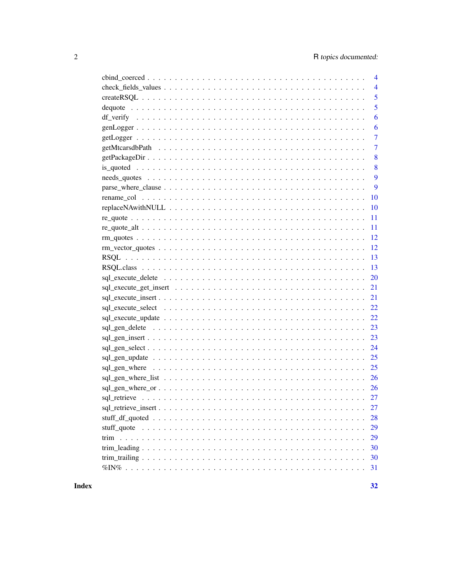| $\overline{4}$ |
|----------------|
| $\overline{4}$ |
| 5              |
| 5              |
| 6              |
| 6              |
| $\overline{7}$ |
| $\overline{7}$ |
| 8              |
| 8              |
| 9              |
| 9              |
| 10             |
| 10             |
| 11             |
|                |
|                |
|                |
|                |
|                |
|                |
|                |
|                |
|                |
|                |
|                |
|                |
|                |
|                |
|                |
|                |
|                |
|                |
| 27             |
| 28             |
| 29             |
| 29             |
| 30             |
| 30             |
| 31             |
|                |

**Index**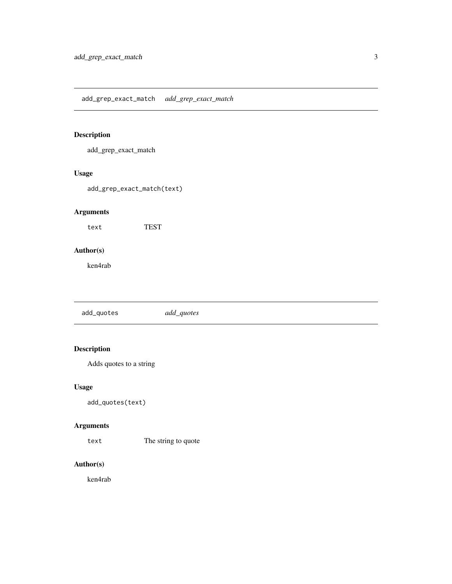<span id="page-2-0"></span>add\_grep\_exact\_match

## Usage

add\_grep\_exact\_match(text)

# Arguments

text TEST

# Author(s)

ken4rab

add\_quotes *add\_quotes*

# Description

Adds quotes to a string

## Usage

add\_quotes(text)

# Arguments

text The string to quote

# Author(s)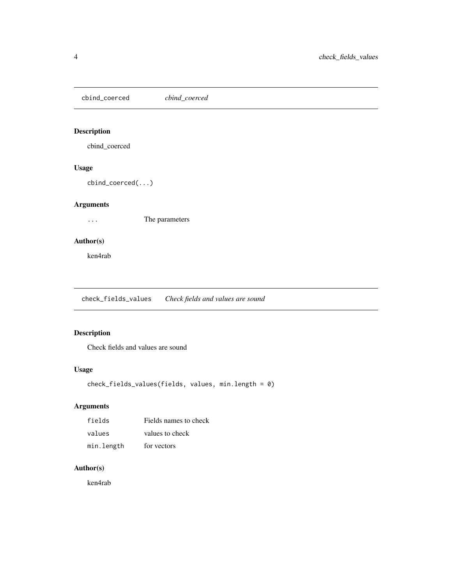<span id="page-3-0"></span>cbind\_coerced *cbind\_coerced*

# Description

cbind\_coerced

## Usage

cbind\_coerced(...)

# Arguments

... The parameters

# Author(s)

ken4rab

check\_fields\_values *Check fields and values are sound*

# Description

Check fields and values are sound

# Usage

```
check_fields_values(fields, values, min.length = 0)
```
# Arguments

| fields     | Fields names to check |
|------------|-----------------------|
| values     | values to check       |
| min.length | for vectors           |

# Author(s)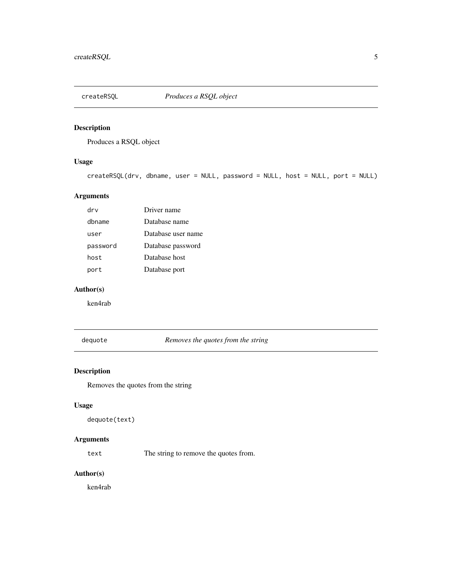<span id="page-4-0"></span>

Produces a RSQL object

# Usage

```
createRSQL(drv, dbname, user = NULL, password = NULL, host = NULL, port = NULL)
```
# Arguments

| drv      | Driver name        |
|----------|--------------------|
| dbname   | Database name      |
| user     | Database user name |
| password | Database password  |
| host     | Database host      |
| port     | Database port      |

# Author(s)

ken4rab

dequote *Removes the quotes from the string*

# Description

Removes the quotes from the string

## Usage

dequote(text)

# Arguments

text The string to remove the quotes from.

#### Author(s)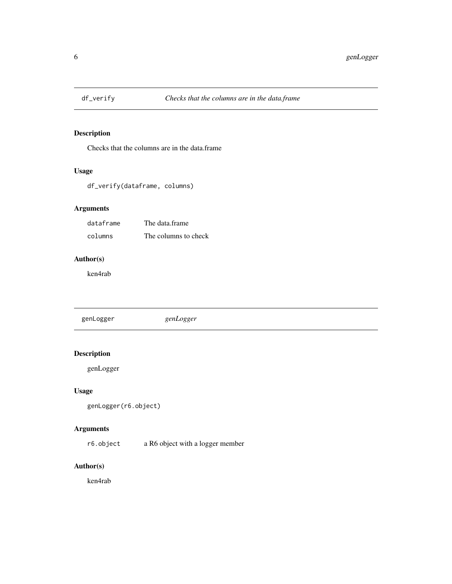<span id="page-5-0"></span>

Checks that the columns are in the data.frame

# Usage

df\_verify(dataframe, columns)

## Arguments

| dataframe | The data frame       |
|-----------|----------------------|
| columns   | The columns to check |

### Author(s)

ken4rab

| genLogger | genLogger |
|-----------|-----------|
|           |           |

# Description

genLogger

## Usage

í,

```
genLogger(r6.object)
```
## Arguments

r6.object a R6 object with a logger member

## Author(s)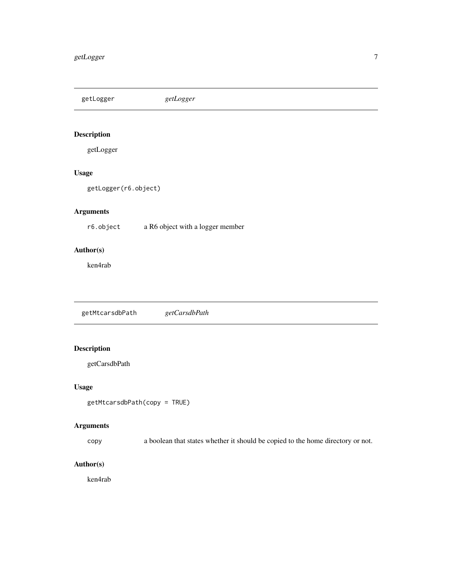<span id="page-6-0"></span>getLogger *getLogger*

# Description

getLogger

# Usage

getLogger(r6.object)

# Arguments

r6.object a R6 object with a logger member

## Author(s)

ken4rab

getMtcarsdbPath *getCarsdbPath*

# Description

getCarsdbPath

## Usage

```
getMtcarsdbPath(copy = TRUE)
```
# Arguments

copy a boolean that states whether it should be copied to the home directory or not.

# Author(s)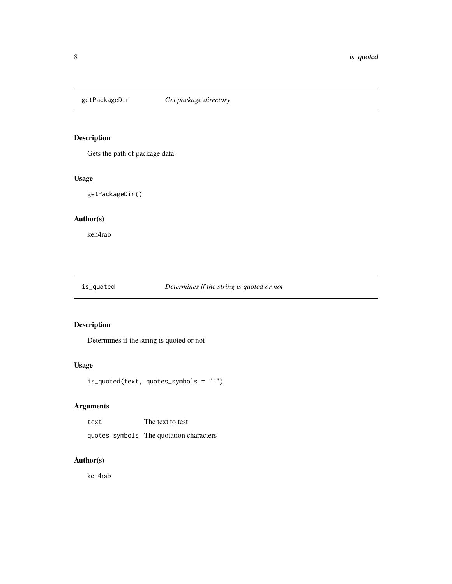<span id="page-7-0"></span>

Gets the path of package data.

# Usage

getPackageDir()

# Author(s)

ken4rab

## is\_quoted *Determines if the string is quoted or not*

# Description

Determines if the string is quoted or not

# Usage

is\_quoted(text, quotes\_symbols = "'")

# Arguments

| text | The text to test                        |
|------|-----------------------------------------|
|      | quotes_symbols The quotation characters |

# Author(s)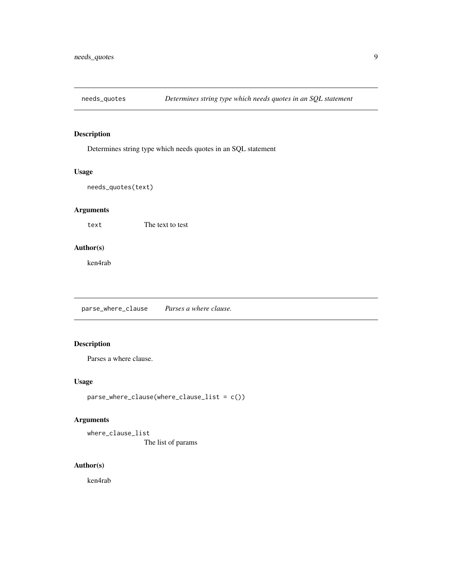<span id="page-8-0"></span>

Determines string type which needs quotes in an SQL statement

## Usage

```
needs_quotes(text)
```
# Arguments

text The text to test

## Author(s)

ken4rab

parse\_where\_clause *Parses a where clause.*

## Description

Parses a where clause.

#### Usage

```
parse_where_clause(where_clause_list = c())
```
# Arguments

where\_clause\_list The list of params

# Author(s)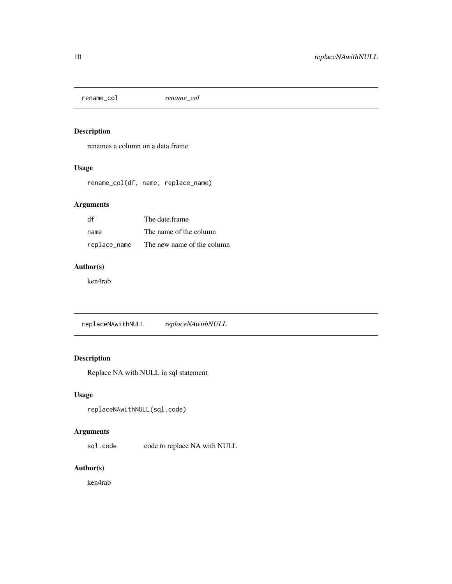<span id="page-9-0"></span>rename\_col *rename\_col*

# Description

renames a column on a data.frame

### Usage

rename\_col(df, name, replace\_name)

## Arguments

| df           | The date frame             |
|--------------|----------------------------|
| name         | The name of the column     |
| replace_name | The new name of the column |

# Author(s)

ken4rab

replaceNAwithNULL *replaceNAwithNULL*

# Description

Replace NA with NULL in sql statement

## Usage

```
replaceNAwithNULL(sql.code)
```
# Arguments

sql.code code to replace NA with NULL

# Author(s)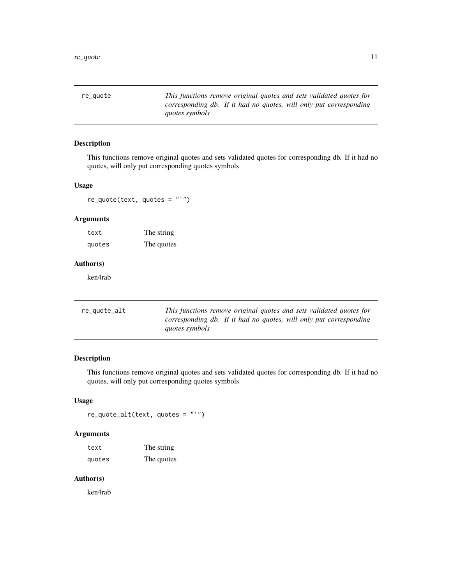<span id="page-10-0"></span>re\_quote *This functions remove original quotes and sets validated quotes for corresponding db. If it had no quotes, will only put corresponding quotes symbols*

#### Description

This functions remove original quotes and sets validated quotes for corresponding db. If it had no quotes, will only put corresponding quotes symbols

### Usage

re\_quote(text, quotes = "'")

## Arguments

text The string quotes The quotes

# Author(s)

ken4rab

| re_quote_alt | This functions remove original quotes and sets validated quotes for |  |  |  |  |
|--------------|---------------------------------------------------------------------|--|--|--|--|
|              | corresponding db. If it had no quotes, will only put corresponding  |  |  |  |  |
|              | <i>quotes symbols</i>                                               |  |  |  |  |

# Description

This functions remove original quotes and sets validated quotes for corresponding db. If it had no quotes, will only put corresponding quotes symbols

# Usage

re\_quote\_alt(text, quotes = "'")

## Arguments

| text   | The string |
|--------|------------|
| quotes | The quotes |

### Author(s)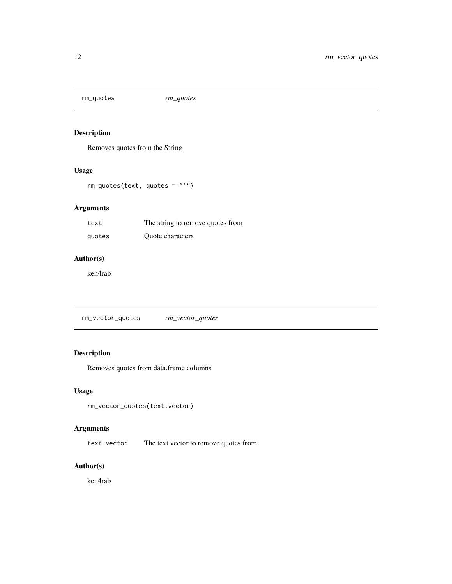<span id="page-11-0"></span>

Removes quotes from the String

# Usage

rm\_quotes(text, quotes = "'")

# Arguments

| text   | The string to remove quotes from |
|--------|----------------------------------|
| quotes | <b>Ouote</b> characters          |

### Author(s)

ken4rab

rm\_vector\_quotes *rm\_vector\_quotes*

# Description

Removes quotes from data.frame columns

## Usage

```
rm_vector_quotes(text.vector)
```
## Arguments

text.vector The text vector to remove quotes from.

## Author(s)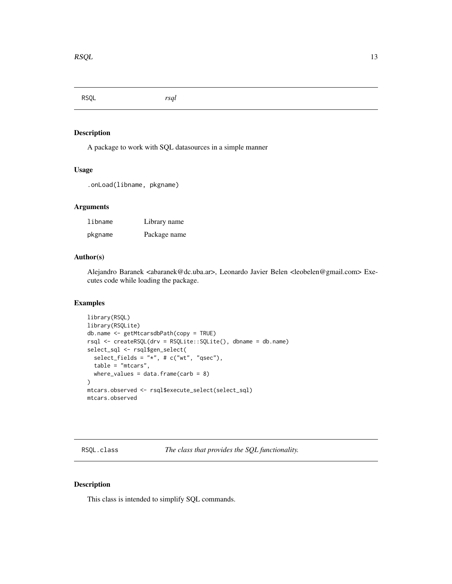<span id="page-12-0"></span>RSQL *rsql*

#### Description

A package to work with SQL datasources in a simple manner

# Usage

.onLoad(libname, pkgname)

# Arguments

| libname | Library name |
|---------|--------------|
| pkgname | Package name |

#### Author(s)

Alejandro Baranek <abaranek@dc.uba.ar>, Leonardo Javier Belen <leobelen@gmail.com> Executes code while loading the package.

#### Examples

```
library(RSQL)
library(RSQLite)
db.name <- getMtcarsdbPath(copy = TRUE)
rsql <- createRSQL(drv = RSQLite::SQLite(), dbname = db.name)
select_sql <- rsql$gen_select(
  select_fields = "*", # c("wt", "qsec"),table = "mtcars",
  where_values = data.frame(carb = 8)
\mathcal{L}mtcars.observed <- rsql$execute_select(select_sql)
mtcars.observed
```
RSQL.class *The class that provides the SQL functionality.*

#### Description

This class is intended to simplify SQL commands.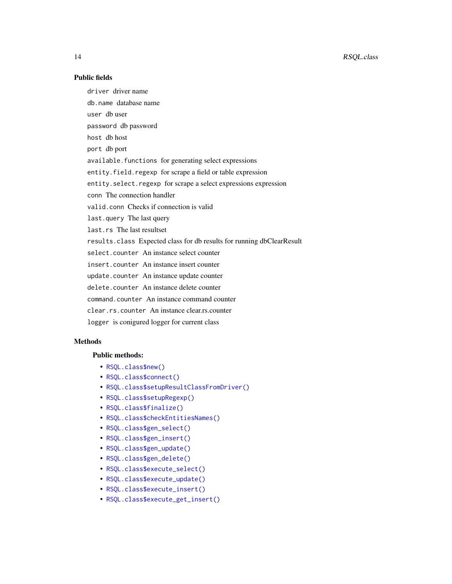# Public fields

driver driver name

db.name database name

user db user

password db password

host db host

port db port

available.functions for generating select expressions

entity.field.regexp for scrape a field or table expression

entity.select.regexp for scrape a select expressions expression

conn The connection handler

valid.conn Checks if connection is valid

last.query The last query

last.rs The last resultset

results.class Expected class for db results for running dbClearResult

select.counter An instance select counter

insert.counter An instance insert counter

update.counter An instance update counter

delete.counter An instance delete counter

command.counter An instance command counter

clear.rs.counter An instance clear.rs.counter

logger is conigured logger for current class

# **Methods**

#### Public methods:

- [RSQL.class\\$new\(\)](#page-14-0)
- [RSQL.class\\$connect\(\)](#page-14-1)
- [RSQL.class\\$setupResultClassFromDriver\(\)](#page-14-2)
- [RSQL.class\\$setupRegexp\(\)](#page-14-3)
- [RSQL.class\\$finalize\(\)](#page-15-0)
- [RSQL.class\\$checkEntitiesNames\(\)](#page-15-1)
- [RSQL.class\\$gen\\_select\(\)](#page-15-2)
- [RSQL.class\\$gen\\_insert\(\)](#page-15-3)
- [RSQL.class\\$gen\\_update\(\)](#page-15-4)
- [RSQL.class\\$gen\\_delete\(\)](#page-16-0)
- [RSQL.class\\$execute\\_select\(\)](#page-16-1)
- [RSQL.class\\$execute\\_update\(\)](#page-16-2)
- [RSQL.class\\$execute\\_insert\(\)](#page-16-3)
- [RSQL.class\\$execute\\_get\\_insert\(\)](#page-17-0)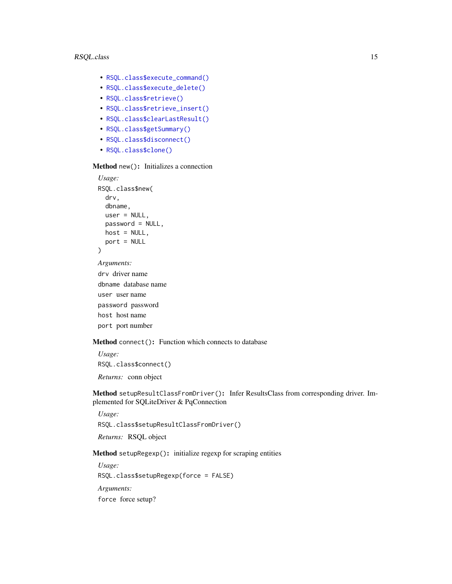- [RSQL.class\\$execute\\_command\(\)](#page-17-1)
- [RSQL.class\\$execute\\_delete\(\)](#page-17-2)
- [RSQL.class\\$retrieve\(\)](#page-17-3)
- [RSQL.class\\$retrieve\\_insert\(\)](#page-17-4)
- [RSQL.class\\$clearLastResult\(\)](#page-18-0)
- [RSQL.class\\$getSummary\(\)](#page-18-1)
- [RSQL.class\\$disconnect\(\)](#page-18-2)
- [RSQL.class\\$clone\(\)](#page-18-3)

<span id="page-14-0"></span>Method new(): Initializes a connection

```
Usage:
RSQL.class$new(
  drv,
  dbname,
  user = NULL,
  password = NULL,
  host = NULL,port = NULL
)
Arguments:
drv driver name
```
dbname database name user user name password password host host name port port number

<span id="page-14-1"></span>Method connect(): Function which connects to database

*Usage:* RSQL.class\$connect() *Returns:* conn object

<span id="page-14-2"></span>Method setupResultClassFromDriver(): Infer ResultsClass from corresponding driver. Implemented for SQLiteDriver & PqConnection

*Usage:* RSQL.class\$setupResultClassFromDriver() *Returns:* RSQL object

<span id="page-14-3"></span>Method setupRegexp(): initialize regexp for scraping entities

*Usage:* RSQL.class\$setupRegexp(force = FALSE) *Arguments:* force force setup?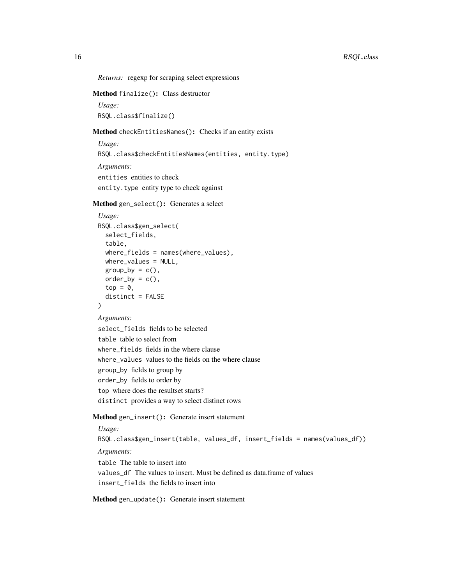*Returns:* regexp for scraping select expressions

### <span id="page-15-0"></span>Method finalize(): Class destructor

```
Usage:
RSQL.class$finalize()
```
#### <span id="page-15-1"></span>Method checkEntitiesNames(): Checks if an entity exists

```
Usage:
RSQL.class$checkEntitiesNames(entities, entity.type)
Arguments:
entities entities to check
entity.type entity type to check against
```
#### <span id="page-15-2"></span>Method gen\_select(): Generates a select

```
Usage:
RSQL.class$gen_select(
 select_fields,
  table,
 where_fields = names(where_values),
 where_values = NULL,
 group_by = c(),
 order_by = c(),
  top = 0,
  distinct = FALSE
)
```
#### *Arguments:*

select\_fields fields to be selected table table to select from where\_fields fields in the where clause where\_values values to the fields on the where clause group\_by fields to group by order\_by fields to order by top where does the resultset starts? distinct provides a way to select distinct rows

#### <span id="page-15-3"></span>Method gen\_insert(): Generate insert statement

### *Usage:*

RSQL.class\$gen\_insert(table, values\_df, insert\_fields = names(values\_df)) *Arguments:* table The table to insert into values\_df The values to insert. Must be defined as data.frame of values insert\_fields the fields to insert into

<span id="page-15-4"></span>Method gen\_update(): Generate insert statement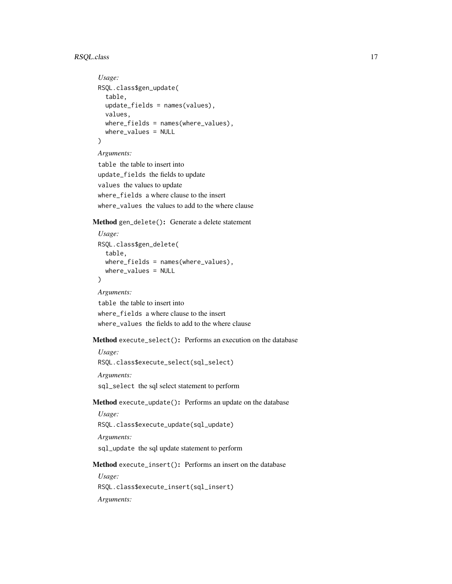# RSQL.class 17

```
Usage:
RSQL.class$gen_update(
  table,
 update_fields = names(values),
 values,
 where_fields = names(where_values),
 where_values = NULL
)
```
#### *Arguments:*

```
table the table to insert into
update_fields the fields to update
values the values to update
where_fields a where clause to the insert
where_values the values to add to the where clause
```
<span id="page-16-0"></span>Method gen\_delete(): Generate a delete statement

```
Usage:
RSQL.class$gen_delete(
  table,
 where_fields = names(where_values),
  where_values = NULL
)
Arguments:
```
table the table to insert into where fields a where clause to the insert where\_values the fields to add to the where clause

<span id="page-16-1"></span>Method execute\_select(): Performs an execution on the database

*Usage:* RSQL.class\$execute\_select(sql\_select) *Arguments:* sql\_select the sql select statement to perform

<span id="page-16-2"></span>Method execute\_update(): Performs an update on the database

*Usage:* RSQL.class\$execute\_update(sql\_update)

*Arguments:*

sql\_update the sql update statement to perform

<span id="page-16-3"></span>Method execute\_insert(): Performs an insert on the database

*Usage:* RSQL.class\$execute\_insert(sql\_insert)

*Arguments:*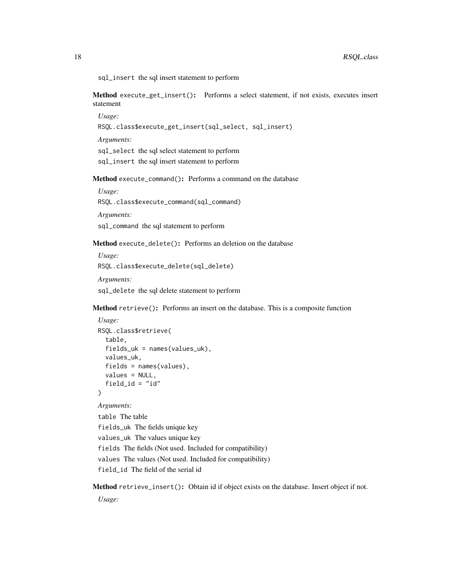sql\_insert the sql insert statement to perform

<span id="page-17-0"></span>Method execute\_get\_insert(): Performs a select statement, if not exists, executes insert statement

*Usage:*

RSQL.class\$execute\_get\_insert(sql\_select, sql\_insert)

*Arguments:*

sql\_select the sql select statement to perform

sql\_insert the sql insert statement to perform

<span id="page-17-1"></span>Method execute\_command(): Performs a command on the database

*Usage:* RSQL.class\$execute\_command(sql\_command)

*Arguments:*

sql\_command the sql statement to perform

<span id="page-17-2"></span>Method execute\_delete(): Performs an deletion on the database

*Usage:* RSQL.class\$execute\_delete(sql\_delete) *Arguments:* sql\_delete the sql delete statement to perform

<span id="page-17-3"></span>Method retrieve(): Performs an insert on the database. This is a composite function

```
Usage:
RSQL.class$retrieve(
 table,
 fields_uk = names(values_uk),
 values_uk,
  fields = names(values),
 values = NULL,
  field_id = "id")
```
*Arguments:*

table The table fields\_uk The fields unique key values\_uk The values unique key fields The fields (Not used. Included for compatibility) values The values (Not used. Included for compatibility) field\_id The field of the serial id

<span id="page-17-4"></span>Method retrieve\_insert(): Obtain id if object exists on the database. Insert object if not. *Usage:*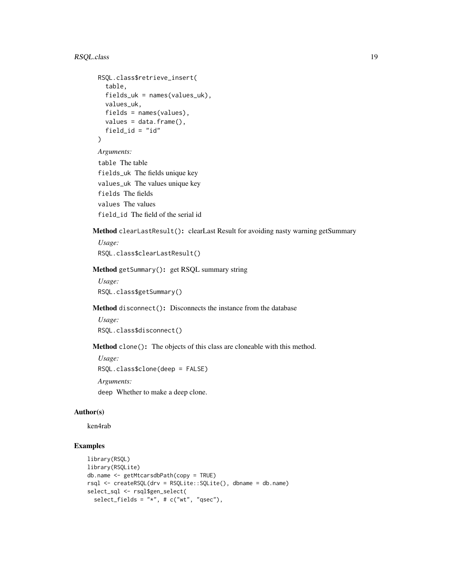```
RSQL.class$retrieve_insert(
  table,
  fields_uk = names(values_uk),
  values_uk,
  fields = names(values),
 values = data.frame(),
  field_id = "id"
\lambdaArguments:
```

```
table The table
fields_uk The fields unique key
values_uk The values unique key
fields The fields
values The values
field_id The field of the serial id
```
<span id="page-18-0"></span>Method clearLastResult(): clearLast Result for avoiding nasty warning getSummary

*Usage:* RSQL.class\$clearLastResult()

<span id="page-18-1"></span>Method getSummary(): get RSQL summary string

*Usage:* RSQL.class\$getSummary()

<span id="page-18-2"></span>Method disconnect(): Disconnects the instance from the database

```
Usage:
RSQL.class$disconnect()
```
<span id="page-18-3"></span>Method clone(): The objects of this class are cloneable with this method.

```
Usage:
RSQL.class$clone(deep = FALSE)
```
*Arguments:*

deep Whether to make a deep clone.

# Author(s)

ken4rab

# Examples

```
library(RSQL)
library(RSQLite)
db.name <- getMtcarsdbPath(copy = TRUE)
rsql <- createRSQL(drv = RSQLite::SQLite(), dbname = db.name)
select_sql <- rsql$gen_select(
 select_fields = "*", # c("wt", "qsec"),
```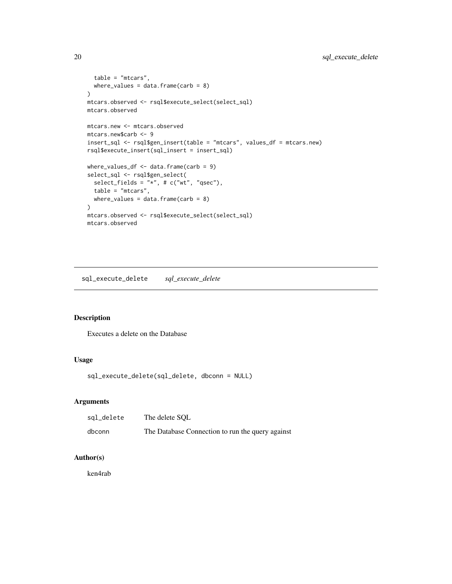```
table = "mtcars",
  where_values = data.frame(carb = 8)
)
mtcars.observed <- rsql$execute_select(select_sql)
mtcars.observed
mtcars.new <- mtcars.observed
mtcars.new$carb <- 9
insert_sql <- rsql$gen_insert(table = "mtcars", values_df = mtcars.new)
rsql$execute_insert(sql_insert = insert_sql)
where_values_df <- data.frame(carb = 9)
select_sql <- rsql$gen_select(
  select_fields = "*", # c("wt", "qsec"),table = "mtcars",
  where_values = data.frame(carb = 8)
)
mtcars.observed <- rsql$execute_select(select_sql)
mtcars.observed
```
sql\_execute\_delete *sql\_execute\_delete*

### Description

Executes a delete on the Database

#### Usage

sql\_execute\_delete(sql\_delete, dbconn = NULL)

# Arguments

| sql_delete | The delete SOL                                   |
|------------|--------------------------------------------------|
| dbconn     | The Database Connection to run the query against |

# Author(s)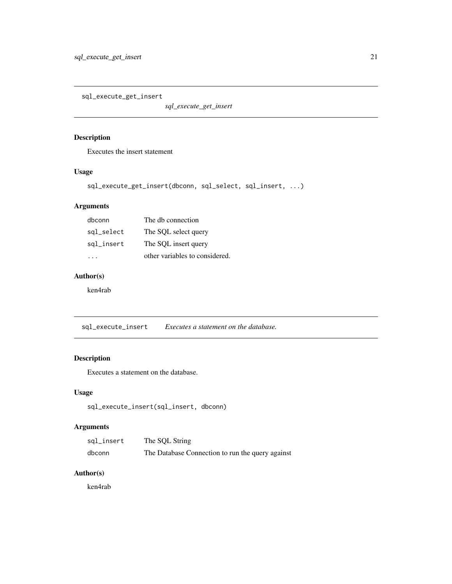<span id="page-20-0"></span>sql\_execute\_get\_insert

*sql\_execute\_get\_insert*

## Description

Executes the insert statement

## Usage

```
sql_execute_get_insert(dbconn, sql_select, sql_insert, ...)
```
# Arguments

| dbconn     | The db connection              |
|------------|--------------------------------|
| sql_select | The SQL select query           |
| sql_insert | The SQL insert query           |
|            | other variables to considered. |

# Author(s)

ken4rab

sql\_execute\_insert *Executes a statement on the database.*

# Description

Executes a statement on the database.

# Usage

```
sql_execute_insert(sql_insert, dbconn)
```
# Arguments

| sql_insert | The SQL String                                   |
|------------|--------------------------------------------------|
| dbconn     | The Database Connection to run the query against |

### Author(s)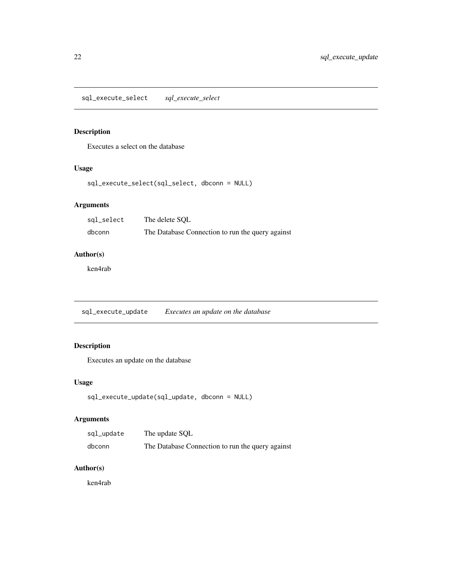<span id="page-21-0"></span>sql\_execute\_select *sql\_execute\_select*

# Description

Executes a select on the database

# Usage

sql\_execute\_select(sql\_select, dbconn = NULL)

# Arguments

| sql_select | The delete SOL                                   |
|------------|--------------------------------------------------|
| dbconn     | The Database Connection to run the query against |

# Author(s)

ken4rab

sql\_execute\_update *Executes an update on the database*

# Description

Executes an update on the database

#### Usage

```
sql_execute_update(sql_update, dbconn = NULL)
```
# Arguments

| sql_update | The update SQL                                   |
|------------|--------------------------------------------------|
| dbconn     | The Database Connection to run the query against |

# Author(s)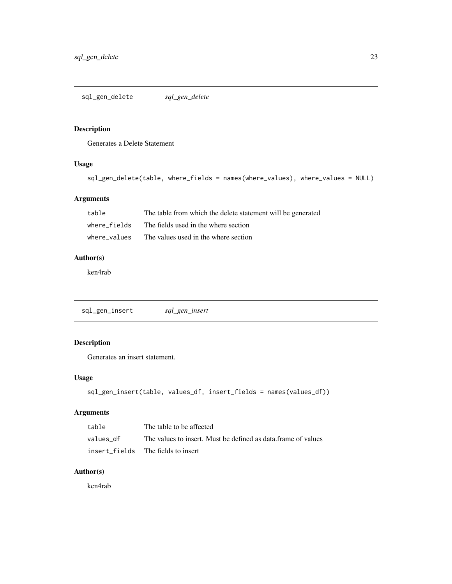<span id="page-22-0"></span>sql\_gen\_delete *sql\_gen\_delete*

## Description

Generates a Delete Statement

## Usage

```
sql_gen_delete(table, where_fields = names(where_values), where_values = NULL)
```
# Arguments

| table        | The table from which the delete statement will be generated |
|--------------|-------------------------------------------------------------|
| where fields | The fields used in the where section                        |
| where values | The values used in the where section                        |

# Author(s)

ken4rab

sql\_gen\_insert *sql\_gen\_insert*

# Description

Generates an insert statement.

#### Usage

```
sql_gen_insert(table, values_df, insert_fields = names(values_df))
```
## Arguments

| table     | The table to be affected                                       |
|-----------|----------------------------------------------------------------|
| values df | The values to insert. Must be defined as data, frame of values |
|           | insert fields The fields to insert                             |

# Author(s)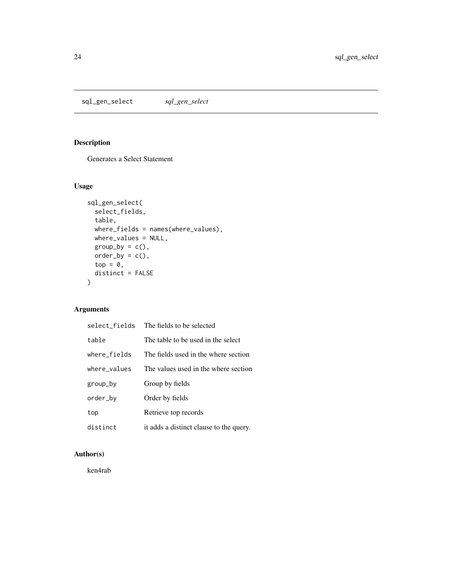<span id="page-23-0"></span>sql\_gen\_select *sql\_gen\_select*

# Description

Generates a Select Statement

# Usage

```
sql_gen_select(
 select_fields,
 table,
 where_fields = names(where_values),
 where_values = NULL,
 group_by = c(),
 order_by = c(),
 top = 0,
 distinct = FALSE
)
```
# Arguments

| select fields | The fields to be selected               |
|---------------|-----------------------------------------|
| table         | The table to be used in the select      |
| where fields  | The fields used in the where section    |
| where values  | The values used in the where section    |
| group_by      | Group by fields                         |
| order_by      | Order by fields                         |
| top           | Retrieve top records                    |
| distinct      | it adds a distinct clause to the query. |

# Author(s)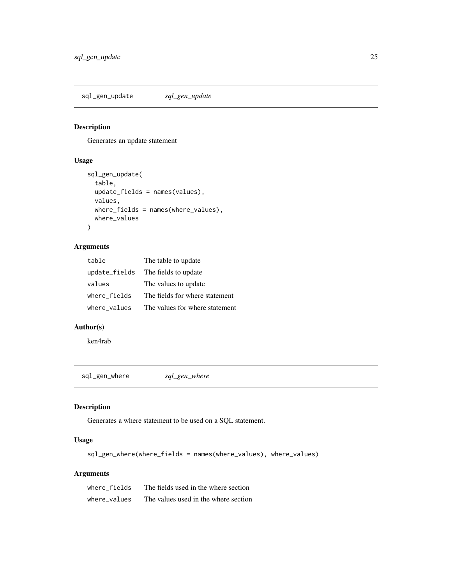<span id="page-24-0"></span>sql\_gen\_update *sql\_gen\_update*

## Description

Generates an update statement

## Usage

```
sql_gen_update(
  table,
  update_fields = names(values),
 values,
 where_fields = names(where_values),
 where_values
\mathcal{L}
```
## Arguments

| table         | The table to update            |
|---------------|--------------------------------|
| update_fields | The fields to update           |
| values        | The values to update           |
| where fields  | The fields for where statement |
| where_values  | The values for where statement |

#### Author(s)

ken4rab

sql\_gen\_where *sql\_gen\_where*

## Description

Generates a where statement to be used on a SQL statement.

## Usage

sql\_gen\_where(where\_fields = names(where\_values), where\_values)

## Arguments

| where fields | The fields used in the where section |
|--------------|--------------------------------------|
| where values | The values used in the where section |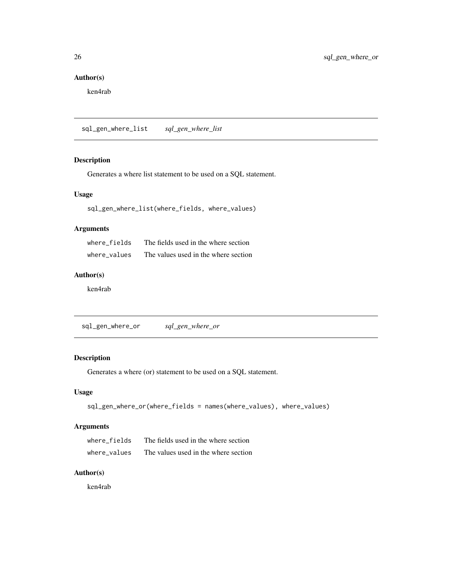# <span id="page-25-0"></span>Author(s)

ken4rab

sql\_gen\_where\_list *sql\_gen\_where\_list*

## Description

Generates a where list statement to be used on a SQL statement.

# Usage

```
sql_gen_where_list(where_fields, where_values)
```
### Arguments

| where fields | The fields used in the where section |
|--------------|--------------------------------------|
| where values | The values used in the where section |

#### Author(s)

ken4rab

sql\_gen\_where\_or *sql\_gen\_where\_or*

## Description

Generates a where (or) statement to be used on a SQL statement.

### Usage

```
sql_gen_where_or(where_fields = names(where_values), where_values)
```
# Arguments

| where fields | The fields used in the where section |
|--------------|--------------------------------------|
| where values | The values used in the where section |

### Author(s)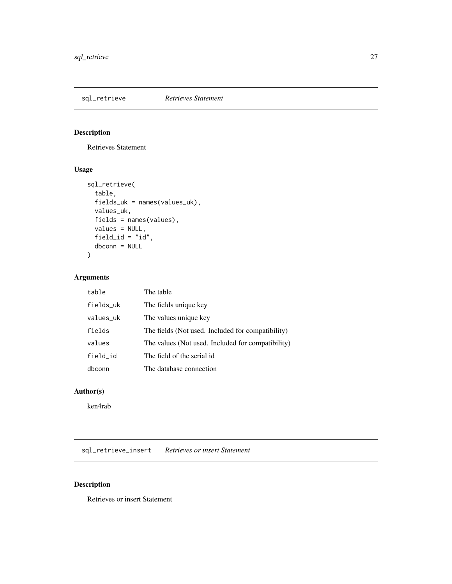<span id="page-26-0"></span>

Retrieves Statement

## Usage

```
sql_retrieve(
 table,
 fields_uk = names(values_uk),
 values_uk,
 fields = names(values),
 values = NULL,
 field_id = "id",dbconn = NULL
)
```
# Arguments

| table     | The table                                         |
|-----------|---------------------------------------------------|
| fields_uk | The fields unique key                             |
| values_uk | The values unique key                             |
| fields    | The fields (Not used. Included for compatibility) |
| values    | The values (Not used. Included for compatibility) |
| field_id  | The field of the serial id                        |
| dbconn    | The database connection                           |

#### Author(s)

ken4rab

sql\_retrieve\_insert *Retrieves or insert Statement*

# Description

Retrieves or insert Statement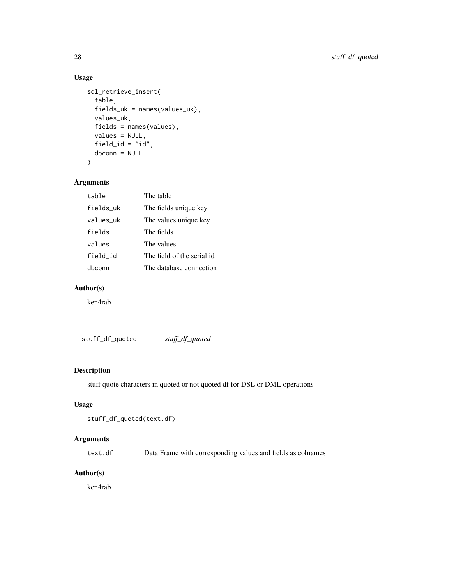# Usage

```
sql_retrieve_insert(
  table,
  fields_uk = names(values_uk),
 values_uk,
 fields = names(values),
 values = NULL,
  field_id = "id",
 dbconn = NULL
\mathcal{L}
```
# Arguments

| table     | The table                  |
|-----------|----------------------------|
| fields_uk | The fields unique key      |
| values uk | The values unique key      |
| fields    | The fields                 |
| values    | The values                 |
| field id  | The field of the serial id |
| dhconn    | The database connection    |

# Author(s)

ken4rab

stuff\_df\_quoted *stuff\_df\_quoted*

## Description

stuff quote characters in quoted or not quoted df for DSL or DML operations

#### Usage

```
stuff_df_quoted(text.df)
```
#### Arguments

text.df Data Frame with corresponding values and fields as colnames

### Author(s)

<span id="page-27-0"></span>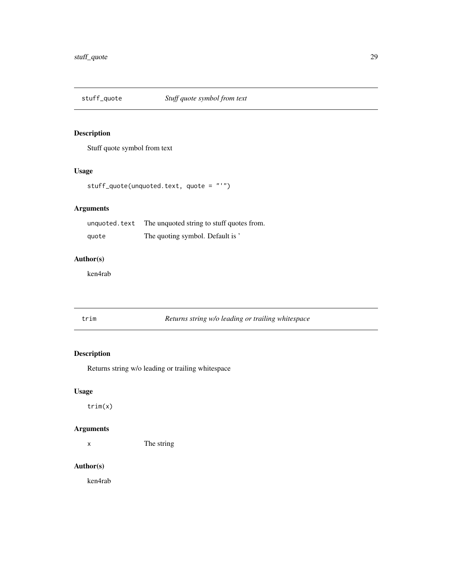<span id="page-28-0"></span>

Stuff quote symbol from text

# Usage

```
stuff_quote(unquoted.text, quote = "'")
```
## Arguments

| unquoted.text | The unquoted string to stuff quotes from. |
|---------------|-------------------------------------------|
| quote         | The quoting symbol. Default is '          |

# Author(s)

ken4rab

trim *Returns string w/o leading or trailing whitespace*

# Description

Returns string w/o leading or trailing whitespace

## Usage

trim(x)

## Arguments

x The string

## Author(s)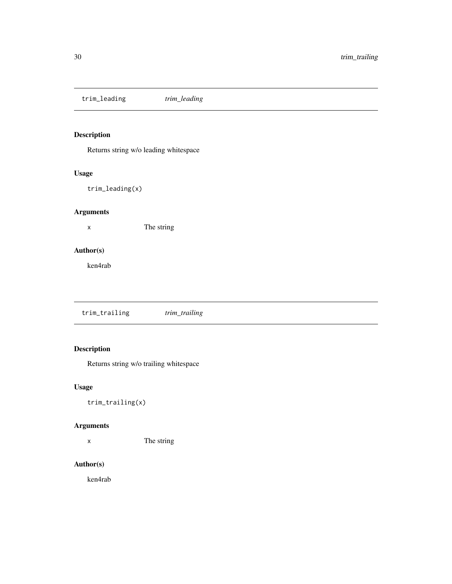<span id="page-29-0"></span>trim\_leading *trim\_leading*

# Description

Returns string w/o leading whitespace

# Usage

trim\_leading(x)

## Arguments

x The string

# Author(s)

ken4rab

trim\_trailing *trim\_trailing*

# Description

Returns string w/o trailing whitespace

## Usage

trim\_trailing(x)

# Arguments

x The string

# Author(s)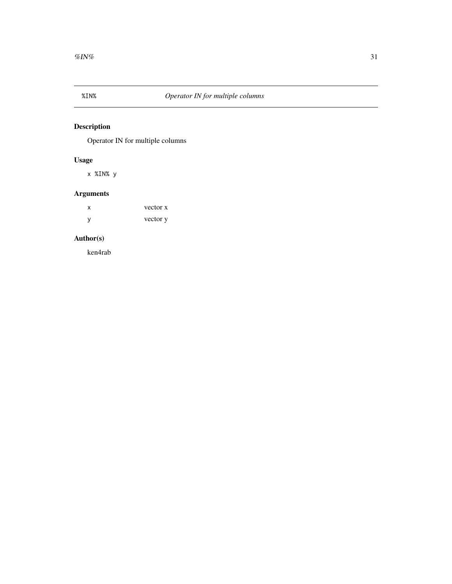<span id="page-30-0"></span>

Operator IN for multiple columns

# Usage

x %IN% y

# Arguments

| х | vector x |
|---|----------|
| y | vector y |

# Author(s)